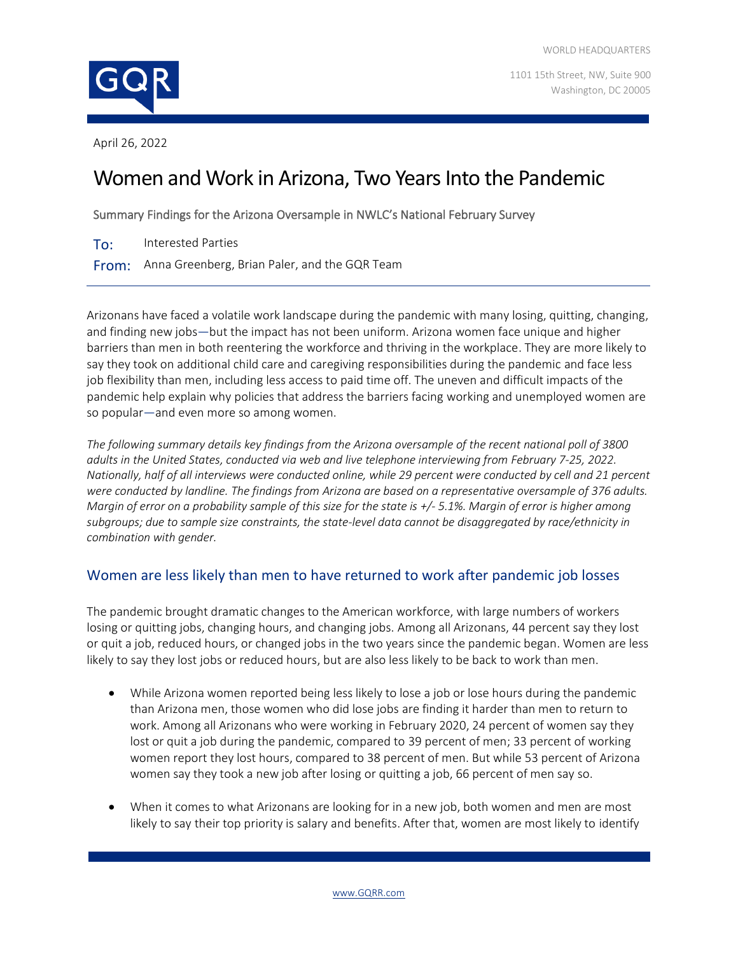

1101 15th Street, NW, Suite 900 Washington, DC 20005

April 26, 2022

# Women and Work in Arizona, Two Years Into the Pandemic

Summary Findings for the Arizona Oversample in NWLC's National February Survey

To: Interested Parties

From: Anna Greenberg, Brian Paler, and the GQR Team

Arizonans have faced a volatile work landscape during the pandemic with many losing, quitting, changing, and finding new jobs—but the impact has not been uniform. Arizona women face unique and higher barriers than men in both reentering the workforce and thriving in the workplace. They are more likely to say they took on additional child care and caregiving responsibilities during the pandemic and face less job flexibility than men, including less access to paid time off. The uneven and difficult impacts of the pandemic help explain why policies that address the barriers facing working and unemployed women are so popular—and even more so among women.

*The following summary details key findings from the Arizona oversample of the recent national poll of 3800 adults in the United States, conducted via web and live telephone interviewing from February 7-25, 2022. Nationally, half of all interviews were conducted online, while 29 percent were conducted by cell and 21 percent were conducted by landline. The findings from Arizona are based on a representative oversample of 376 adults. Margin of error on a probability sample of this size for the state is +/- 5.1%. Margin of error is higher among subgroups; due to sample size constraints, the state-level data cannot be disaggregated by race/ethnicity in combination with gender.*

## Women are less likely than men to have returned to work after pandemic job losses

The pandemic brought dramatic changes to the American workforce, with large numbers of workers losing or quitting jobs, changing hours, and changing jobs. Among all Arizonans, 44 percent say they lost or quit a job, reduced hours, or changed jobs in the two years since the pandemic began. Women are less likely to say they lost jobs or reduced hours, but are also less likely to be back to work than men.

- While Arizona women reported being less likely to lose a job or lose hours during the pandemic than Arizona men, those women who did lose jobs are finding it harder than men to return to work. Among all Arizonans who were working in February 2020, 24 percent of women say they lost or quit a job during the pandemic, compared to 39 percent of men; 33 percent of working women report they lost hours, compared to 38 percent of men. But while 53 percent of Arizona women say they took a new job after losing or quitting a job, 66 percent of men say so.
- When it comes to what Arizonans are looking for in a new job, both women and men are most likely to say their top priority is salary and benefits. After that, women are most likely to identify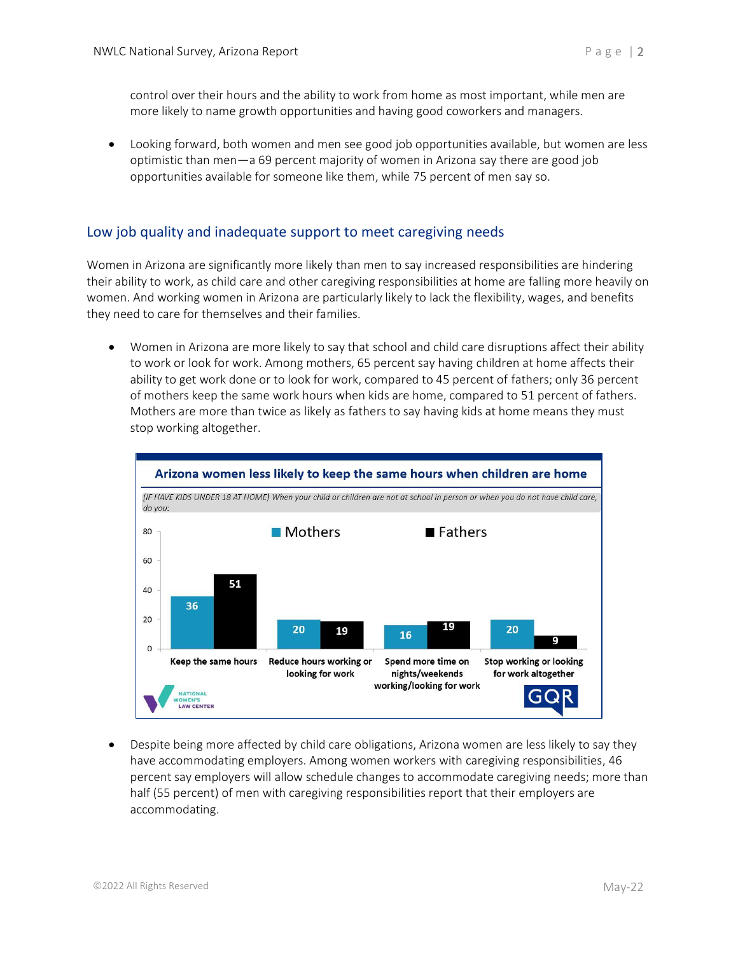control over their hours and the ability to work from home as most important, while men are more likely to name growth opportunities and having good coworkers and managers.

• Looking forward, both women and men see good job opportunities available, but women are less optimistic than men—a 69 percent majority of women in Arizona say there are good job opportunities available for someone like them, while 75 percent of men say so.

#### Low job quality and inadequate support to meet caregiving needs

Women in Arizona are significantly more likely than men to say increased responsibilities are hindering their ability to work, as child care and other caregiving responsibilities at home are falling more heavily on women. And working women in Arizona are particularly likely to lack the flexibility, wages, and benefits they need to care for themselves and their families.

• Women in Arizona are more likely to say that school and child care disruptions affect their ability to work or look for work. Among mothers, 65 percent say having children at home affects their ability to get work done or to look for work, compared to 45 percent of fathers; only 36 percent of mothers keep the same work hours when kids are home, compared to 51 percent of fathers. Mothers are more than twice as likely as fathers to say having kids at home means they must stop working altogether.



• Despite being more affected by child care obligations, Arizona women are less likely to say they have accommodating employers. Among women workers with caregiving responsibilities, 46 percent say employers will allow schedule changes to accommodate caregiving needs; more than half (55 percent) of men with caregiving responsibilities report that their employers are accommodating.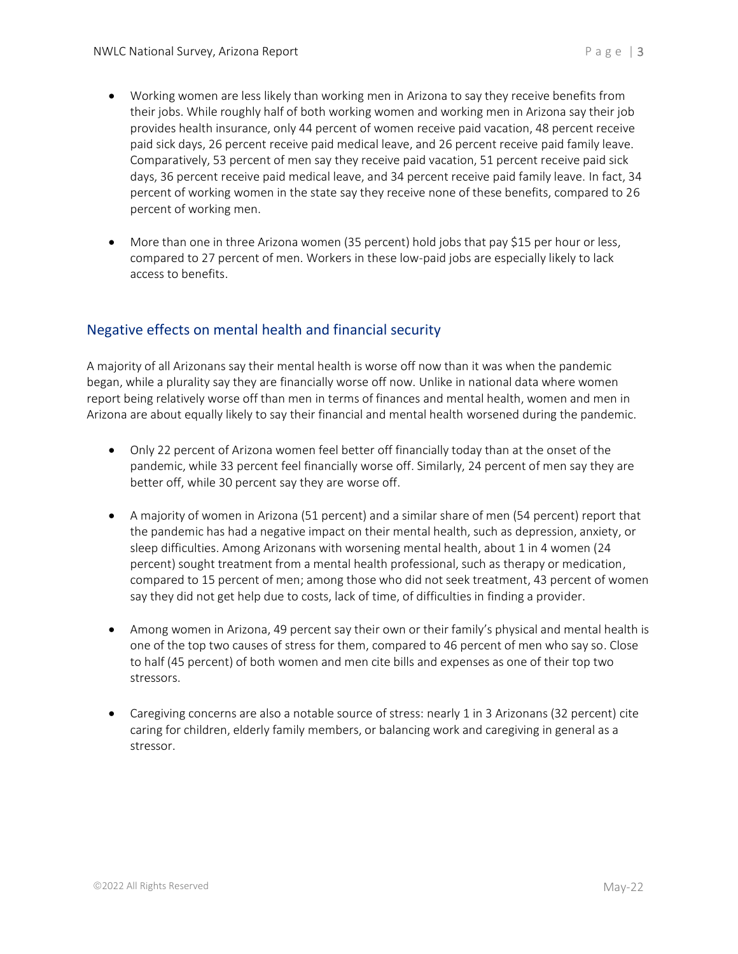- Working women are less likely than working men in Arizona to say they receive benefits from their jobs. While roughly half of both working women and working men in Arizona say their job provides health insurance, only 44 percent of women receive paid vacation, 48 percent receive paid sick days, 26 percent receive paid medical leave, and 26 percent receive paid family leave. Comparatively, 53 percent of men say they receive paid vacation, 51 percent receive paid sick days, 36 percent receive paid medical leave, and 34 percent receive paid family leave. In fact, 34 percent of working women in the state say they receive none of these benefits, compared to 26 percent of working men.
- More than one in three Arizona women (35 percent) hold jobs that pay \$15 per hour or less, compared to 27 percent of men. Workers in these low-paid jobs are especially likely to lack access to benefits.

## Negative effects on mental health and financial security

A majority of all Arizonans say their mental health is worse off now than it was when the pandemic began, while a plurality say they are financially worse off now. Unlike in national data where women report being relatively worse off than men in terms of finances and mental health, women and men in Arizona are about equally likely to say their financial and mental health worsened during the pandemic.

- Only 22 percent of Arizona women feel better off financially today than at the onset of the pandemic, while 33 percent feel financially worse off. Similarly, 24 percent of men say they are better off, while 30 percent say they are worse off.
- A majority of women in Arizona (51 percent) and a similar share of men (54 percent) report that the pandemic has had a negative impact on their mental health, such as depression, anxiety, or sleep difficulties. Among Arizonans with worsening mental health, about 1 in 4 women (24 percent) sought treatment from a mental health professional, such as therapy or medication, compared to 15 percent of men; among those who did not seek treatment, 43 percent of women say they did not get help due to costs, lack of time, of difficulties in finding a provider.
- Among women in Arizona, 49 percent say their own or their family's physical and mental health is one of the top two causes of stress for them, compared to 46 percent of men who say so. Close to half (45 percent) of both women and men cite bills and expenses as one of their top two stressors.
- Caregiving concerns are also a notable source of stress: nearly 1 in 3 Arizonans (32 percent) cite caring for children, elderly family members, or balancing work and caregiving in general as a stressor.